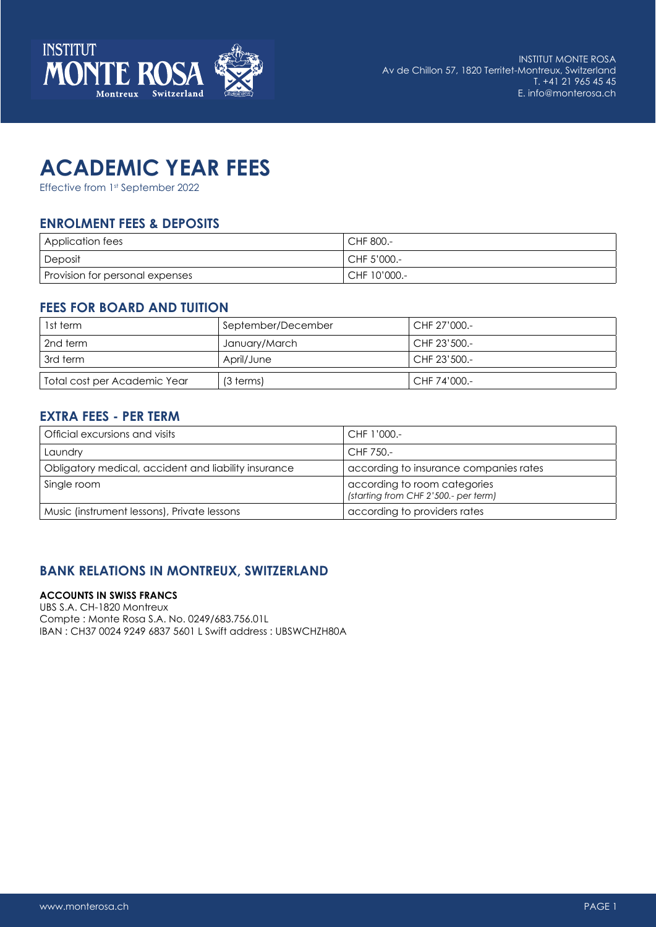

# **ACADEMIC YEAR FEES**

Effective from 1st September 2022

# **ENROLMENT FEES & DEPOSITS**

| Application fees                | CHF 800.-      |
|---------------------------------|----------------|
| Deposit                         | CHF 5'000.-    |
| Provision for personal expenses | ' CHF 10'000.- |

#### **FEES FOR BOARD AND TUITION**

| 1st term                     | September/December | CHF 27'000.- |
|------------------------------|--------------------|--------------|
| 2nd term                     | January/March      | CHF 23'500.- |
| l 3rd term                   | April/June         | CHF 23'500.- |
| Total cost per Academic Year | (3 terms)          | CHF 74'000.- |

### **EXTRA FEES - PER TERM**

| Official excursions and visits                       | CHF 1'000.-                                                          |
|------------------------------------------------------|----------------------------------------------------------------------|
| Laundry                                              | CHF 750.-                                                            |
| Obligatory medical, accident and liability insurance | according to insurance companies rates                               |
| Single room                                          | according to room categories<br>(starting from CHF 2'500.- per term) |
| Music (instrument lessons), Private lessons          | according to providers rates                                         |

# **BANK RELATIONS IN MONTREUX, SWITZERLAND**

#### **ACCOUNTS IN SWISS FRANCS**

UBS S.A. CH-1820 Montreux Compte : Monte Rosa S.A. No. 0249/683.756.01L IBAN : CH37 0024 9249 6837 5601 L Swift address : UBSWCHZH80A